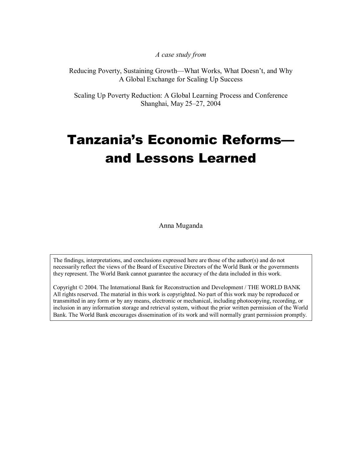*A case study from* 

Reducing Poverty, Sustaining Growth—What Works, What Doesn't, and Why A Global Exchange for Scaling Up Success

Scaling Up Poverty Reduction: A Global Learning Process and Conference Shanghai, May 25–27, 2004

# Tanzania's Economic Reforms and Lessons Learned

Anna Muganda

The findings, interpretations, and conclusions expressed here are those of the author(s) and do not necessarily reflect the views of the Board of Executive Directors of the World Bank or the governments they represent. The World Bank cannot guarantee the accuracy of the data included in this work.

Copyright © 2004. The International Bank for Reconstruction and Development / THE WORLD BANK All rights reserved. The material in this work is copyrighted. No part of this work may be reproduced or transmitted in any form or by any means, electronic or mechanical, including photocopying, recording, or inclusion in any information storage and retrieval system, without the prior written permission of the World Bank. The World Bank encourages dissemination of its work and will normally grant permission promptly.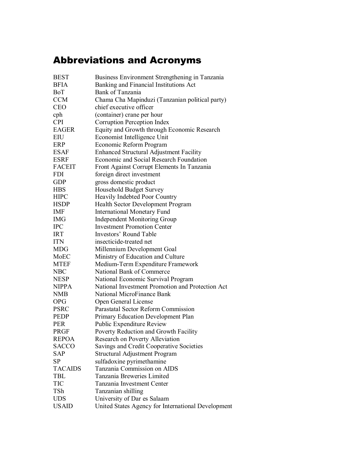## Abbreviations and Acronyms

| <b>BEST</b>    | Business Environment Strengthening in Tanzania     |
|----------------|----------------------------------------------------|
| <b>BFIA</b>    | Banking and Financial Institutions Act             |
| BoT            | Bank of Tanzania                                   |
| <b>CCM</b>     | Chama Cha Mapinduzi (Tanzanian political party)    |
| <b>CEO</b>     | chief executive officer                            |
| cph            | (container) crane per hour                         |
| <b>CPI</b>     | Corruption Perception Index                        |
| <b>EAGER</b>   | Equity and Growth through Economic Research        |
| EIU            | Economist Intelligence Unit                        |
| <b>ERP</b>     | Economic Reform Program                            |
| <b>ESAF</b>    | <b>Enhanced Structural Adjustment Facility</b>     |
| <b>ESRF</b>    | Economic and Social Research Foundation            |
| <b>FACEIT</b>  | Front Against Corrupt Elements In Tanzania         |
| <b>FDI</b>     | foreign direct investment                          |
| <b>GDP</b>     | gross domestic product                             |
| <b>HBS</b>     | <b>Household Budget Survey</b>                     |
| <b>HIPC</b>    | Heavily Indebted Poor Country                      |
| <b>HSDP</b>    | Health Sector Development Program                  |
| <b>IMF</b>     | <b>International Monetary Fund</b>                 |
| <b>IMG</b>     | <b>Independent Monitoring Group</b>                |
| <b>IPC</b>     | <b>Investment Promotion Center</b>                 |
| <b>IRT</b>     | Investors' Round Table                             |
| <b>ITN</b>     | insecticide-treated net                            |
| <b>MDG</b>     | Millennium Development Goal                        |
| MoEC           | Ministry of Education and Culture                  |
| <b>MTEF</b>    | Medium-Term Expenditure Framework                  |
| <b>NBC</b>     | National Bank of Commerce                          |
| <b>NESP</b>    | National Economic Survival Program                 |
| <b>NIPPA</b>   | National Investment Promotion and Protection Act   |
| <b>NMB</b>     | National MicroFinance Bank                         |
| <b>OPG</b>     | Open General License                               |
| <b>PSRC</b>    | Parastatal Sector Reform Commission                |
| <b>PEDP</b>    | Primary Education Development Plan                 |
| <b>PER</b>     | Public Expenditure Review                          |
| <b>PRGF</b>    | Poverty Reduction and Growth Facility              |
| <b>REPOA</b>   | Research on Poverty Alleviation                    |
| <b>SACCO</b>   | Savings and Credit Cooperative Societies           |
| SAP            | <b>Structural Adjustment Program</b>               |
| SP             | sulfadoxine pyrimethamine                          |
| <b>TACAIDS</b> | Tanzania Commission on AIDS                        |
| <b>TBL</b>     | Tanzania Breweries Limited                         |
| <b>TIC</b>     | Tanzania Investment Center                         |
| TSh            | Tanzanian shilling                                 |
| <b>UDS</b>     | University of Dar es Salaam                        |
| <b>USAID</b>   | United States Agency for International Development |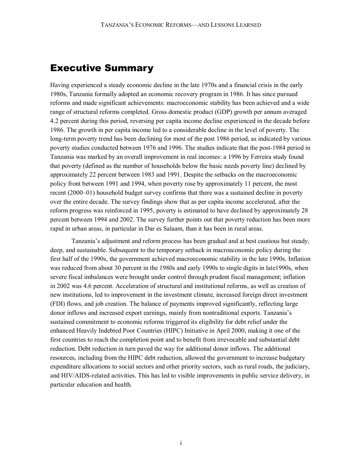## Executive Summary

Having experienced a steady economic decline in the late 1970s and a financial crisis in the early 1980s, Tanzania formally adopted an economic recovery program in 1986. It has since pursued reforms and made significant achievements: macroeconomic stability has been achieved and a wide range of structural reforms completed. Gross domestic product (GDP) growth per annum averaged 4.2 percent during this period, reversing per capita income decline experienced in the decade before 1986. The growth in per capita income led to a considerable decline in the level of poverty. The long-term poverty trend has been declining for most of the post 1986 period, as indicated by various poverty studies conducted between 1976 and 1996. The studies indicate that the post-1984 period in Tanzania was marked by an overall improvement in real incomes: a 1996 by Ferreira study found that poverty (defined as the number of households below the basic needs poverty line) declined by approximately 22 percent between 1983 and 1991. Despite the setbacks on the macroeconomic policy front between 1991 and 1994, when poverty rose by approximately 11 percent, the most recent (2000–01) household budget survey confirms that there was a sustained decline in poverty over the entire decade. The survey findings show that as per capita income accelerated, after the reform progress was reinforced in 1995, poverty is estimated to have declined by approximately 28 percent between 1994 and 2002. The survey further points out that poverty reduction has been more rapid in urban areas, in particular in Dar es Salaam, than it has been in rural areas.

Tanzania's adjustment and reform process has been gradual and at best cautious but steady, deep, and sustainable. Subsequent to the temporary setback in macroeconomic policy during the first half of the 1990s, the government achieved macroeconomic stability in the late 1990s. Inflation was reduced from about 30 percent in the 1980s and early 1990s to single digits in late1990s, when severe fiscal imbalances were brought under control through prudent fiscal management; inflation in 2002 was 4.6 percent. Acceleration of structural and institutional reforms, as well as creation of new institutions, led to improvement in the investment climate, increased foreign direct investment (FDI) flows, and job creation. The balance of payments improved significantly, reflecting large donor inflows and increased export earnings, mainly from nontraditional exports. Tanzania's sustained commitment to economic reforms triggered its eligibility for debt relief under the enhanced Heavily Indebted Poor Countries (HIPC) Initiative in April 2000, making it one of the first countries to reach the completion point and to benefit from irrevocable and substantial debt reduction. Debt reduction in turn paved the way for additional donor inflows. The additional resources, including from the HIPC debt reduction, allowed the government to increase budgetary expenditure allocations to social sectors and other priority sectors, such as rural roads, the judiciary, and HIV/AIDS-related activities. This has led to visible improvements in public service delivery, in particular education and health.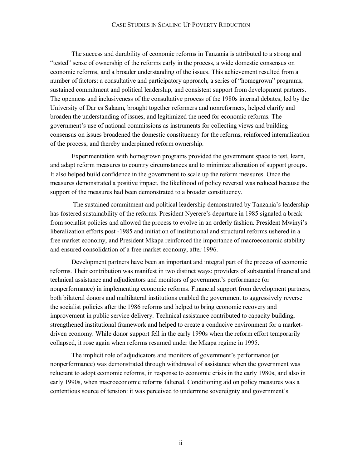The success and durability of economic reforms in Tanzania is attributed to a strong and "tested" sense of ownership of the reforms early in the process, a wide domestic consensus on economic reforms, and a broader understanding of the issues. This achievement resulted from a number of factors: a consultative and participatory approach, a series of "homegrown" programs, sustained commitment and political leadership, and consistent support from development partners. The openness and inclusiveness of the consultative process of the 1980s internal debates, led by the University of Dar es Salaam, brought together reformers and nonreformers, helped clarify and broaden the understanding of issues, and legitimized the need for economic reforms. The government's use of national commissions as instruments for collecting views and building consensus on issues broadened the domestic constituency for the reforms, reinforced internalization of the process, and thereby underpinned reform ownership.

Experimentation with homegrown programs provided the government space to test, learn, and adapt reform measures to country circumstances and to minimize alienation of support groups. It also helped build confidence in the government to scale up the reform measures. Once the measures demonstrated a positive impact, the likelihood of policy reversal was reduced because the support of the measures had been demonstrated to a broader constituency.

 The sustained commitment and political leadership demonstrated by Tanzania's leadership has fostered sustainability of the reforms. President Nyerere's departure in 1985 signaled a break from socialist policies and allowed the process to evolve in an orderly fashion. President Mwinyi's liberalization efforts post -1985 and initiation of institutional and structural reforms ushered in a free market economy, and President Mkapa reinforced the importance of macroeconomic stability and ensured consolidation of a free market economy, after 1996.

Development partners have been an important and integral part of the process of economic reforms. Their contribution was manifest in two distinct ways: providers of substantial financial and technical assistance and adjudicators and monitors of government's performance (or nonperformance) in implementing economic reforms. Financial support from development partners, both bilateral donors and multilateral institutions enabled the government to aggressively reverse the socialist policies after the 1986 reforms and helped to bring economic recovery and improvement in public service delivery. Technical assistance contributed to capacity building, strengthened institutional framework and helped to create a conducive environment for a marketdriven economy. While donor support fell in the early 1990s when the reform effort temporarily collapsed, it rose again when reforms resumed under the Mkapa regime in 1995.

The implicit role of adjudicators and monitors of government's performance (or nonperformance) was demonstrated through withdrawal of assistance when the government was reluctant to adopt economic reforms, in response to economic crisis in the early 1980s, and also in early 1990s, when macroeconomic reforms faltered. Conditioning aid on policy measures was a contentious source of tension: it was perceived to undermine sovereignty and government's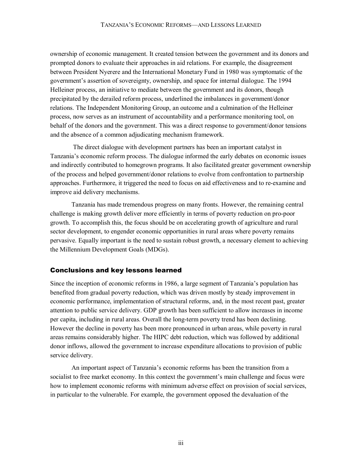ownership of economic management. It created tension between the government and its donors and prompted donors to evaluate their approaches in aid relations. For example, the disagreement between President Nyerere and the International Monetary Fund in 1980 was symptomatic of the government's assertion of sovereignty, ownership, and space for internal dialogue. The 1994 Helleiner process, an initiative to mediate between the government and its donors, though precipitated by the derailed reform process, underlined the imbalances in government/donor relations. The Independent Monitoring Group, an outcome and a culmination of the Helleiner process, now serves as an instrument of accountability and a performance monitoring tool, on behalf of the donors and the government. This was a direct response to government/donor tensions and the absence of a common adjudicating mechanism framework.

 The direct dialogue with development partners has been an important catalyst in Tanzania's economic reform process. The dialogue informed the early debates on economic issues and indirectly contributed to homegrown programs. It also facilitated greater government ownership of the process and helped government/donor relations to evolve from confrontation to partnership approaches. Furthermore, it triggered the need to focus on aid effectiveness and to re-examine and improve aid delivery mechanisms.

Tanzania has made tremendous progress on many fronts. However, the remaining central challenge is making growth deliver more efficiently in terms of poverty reduction on pro-poor growth. To accomplish this, the focus should be on accelerating growth of agriculture and rural sector development, to engender economic opportunities in rural areas where poverty remains pervasive. Equally important is the need to sustain robust growth, a necessary element to achieving the Millennium Development Goals (MDGs).

#### Conclusions and key lessons learned

Since the inception of economic reforms in 1986, a large segment of Tanzania's population has benefited from gradual poverty reduction, which was driven mostly by steady improvement in economic performance, implementation of structural reforms, and, in the most recent past, greater attention to public service delivery. GDP growth has been sufficient to allow increases in income per capita, including in rural areas. Overall the long-term poverty trend has been declining. However the decline in poverty has been more pronounced in urban areas, while poverty in rural areas remains considerably higher. The HIPC debt reduction, which was followed by additional donor inflows, allowed the government to increase expenditure allocations to provision of public service delivery.

An important aspect of Tanzania's economic reforms has been the transition from a socialist to free market economy. In this context the government's main challenge and focus were how to implement economic reforms with minimum adverse effect on provision of social services, in particular to the vulnerable. For example, the government opposed the devaluation of the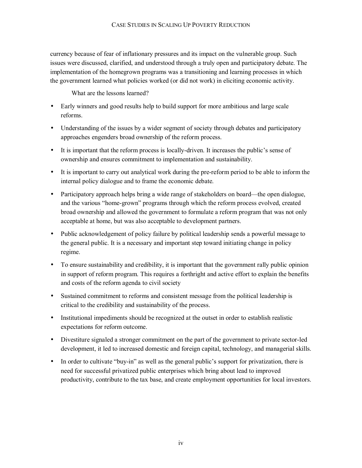currency because of fear of inflationary pressures and its impact on the vulnerable group. Such issues were discussed, clarified, and understood through a truly open and participatory debate. The implementation of the homegrown programs was a transitioning and learning processes in which the government learned what policies worked (or did not work) in eliciting economic activity.

What are the lessons learned?

- Early winners and good results help to build support for more ambitious and large scale reforms.
- Understanding of the issues by a wider segment of society through debates and participatory approaches engenders broad ownership of the reform process.
- It is important that the reform process is locally-driven. It increases the public's sense of ownership and ensures commitment to implementation and sustainability.
- It is important to carry out analytical work during the pre-reform period to be able to inform the internal policy dialogue and to frame the economic debate.
- Participatory approach helps bring a wide range of stakeholders on board—the open dialogue, and the various "home-grown" programs through which the reform process evolved, created broad ownership and allowed the government to formulate a reform program that was not only acceptable at home, but was also acceptable to development partners.
- Public acknowledgement of policy failure by political leadership sends a powerful message to the general public. It is a necessary and important step toward initiating change in policy regime.
- To ensure sustainability and credibility, it is important that the government rally public opinion in support of reform program. This requires a forthright and active effort to explain the benefits and costs of the reform agenda to civil society
- Sustained commitment to reforms and consistent message from the political leadership is critical to the credibility and sustainability of the process.
- Institutional impediments should be recognized at the outset in order to establish realistic expectations for reform outcome.
- Divestiture signaled a stronger commitment on the part of the government to private sector-led development, it led to increased domestic and foreign capital, technology, and managerial skills.
- In order to cultivate "buy-in" as well as the general public's support for privatization, there is need for successful privatized public enterprises which bring about lead to improved productivity, contribute to the tax base, and create employment opportunities for local investors.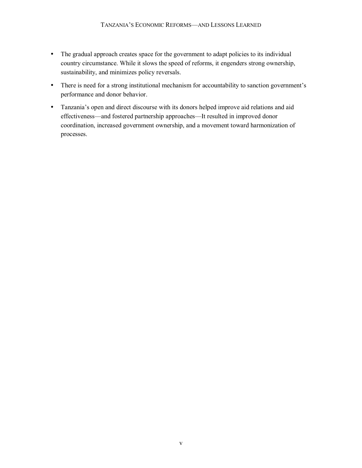- The gradual approach creates space for the government to adapt policies to its individual country circumstance. While it slows the speed of reforms, it engenders strong ownership, sustainability, and minimizes policy reversals.
- There is need for a strong institutional mechanism for accountability to sanction government's performance and donor behavior.
- Tanzania's open and direct discourse with its donors helped improve aid relations and aid effectiveness—and fostered partnership approaches—It resulted in improved donor coordination, increased government ownership, and a movement toward harmonization of processes.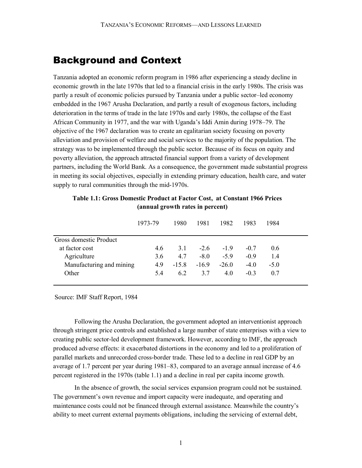## Background and Context

Tanzania adopted an economic reform program in 1986 after experiencing a steady decline in economic growth in the late 1970s that led to a financial crisis in the early 1980s. The crisis was partly a result of economic policies pursued by Tanzania under a public sector–led economy embedded in the 1967 Arusha Declaration, and partly a result of exogenous factors, including deterioration in the terms of trade in the late 1970s and early 1980s, the collapse of the East African Community in 1977, and the war with Uganda's Iddi Amin during 1978–79. The objective of the 1967 declaration was to create an egalitarian society focusing on poverty alleviation and provision of welfare and social services to the majority of the population. The strategy was to be implemented through the public sector. Because of its focus on equity and poverty alleviation, the approach attracted financial support from a variety of development partners, including the World Bank. As a consequence, the government made substantial progress in meeting its social objectives, especially in extending primary education, health care, and water supply to rural communities through the mid-1970s.

|                          | 1973-79 | 1980   | 1981   | 1982    | 1983   | 1984   |  |
|--------------------------|---------|--------|--------|---------|--------|--------|--|
| Gross domestic Product   |         |        |        |         |        |        |  |
| at factor cost           | 4.6     | 31     | $-2.6$ | $-19$   | $-07$  | 0.6    |  |
| Agriculture              | 3.6     | 47     | $-8.0$ | $-59$   | $-0.9$ | 14     |  |
| Manufacturing and mining | 4.9     | $-158$ | $-169$ | $-26.0$ | $-4.0$ | $-5.0$ |  |
| Other                    | 5.4     | 62     | 37     | 4.0     | $-03$  | 0.7    |  |

 **Table 1.1: Gross Domestic Product at Factor Cost, at Constant 1966 Prices (annual growth rates in percent)** 

Source: IMF Staff Report, 1984

Following the Arusha Declaration, the government adopted an interventionist approach through stringent price controls and established a large number of state enterprises with a view to creating public sector-led development framework. However, according to IMF, the approach produced adverse effects: it exacerbated distortions in the economy and led to a proliferation of parallel markets and unrecorded cross-border trade. These led to a decline in real GDP by an average of 1.7 percent per year during 1981–83, compared to an average annual increase of 4.6 percent registered in the 1970s (table 1.1) and a decline in real per capita income growth.

In the absence of growth, the social services expansion program could not be sustained. The government's own revenue and import capacity were inadequate, and operating and maintenance costs could not be financed through external assistance. Meanwhile the country's ability to meet current external payments obligations, including the servicing of external debt,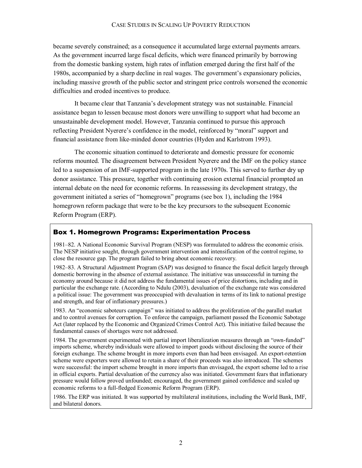became severely constrained; as a consequence it accumulated large external payments arrears. As the government incurred large fiscal deficits, which were financed primarily by borrowing from the domestic banking system, high rates of inflation emerged during the first half of the 1980s, accompanied by a sharp decline in real wages. The government's expansionary policies, including massive growth of the public sector and stringent price controls worsened the economic difficulties and eroded incentives to produce.

It became clear that Tanzania's development strategy was not sustainable. Financial assistance began to lessen because most donors were unwilling to support what had become an unsustainable development model. However, Tanzania continued to pursue this approach reflecting President Nyerere's confidence in the model, reinforced by "moral" support and financial assistance from like-minded donor countries (Hyden and Karlstrom 1993).

The economic situation continued to deteriorate and domestic pressure for economic reforms mounted. The disagreement between President Nyerere and the IMF on the policy stance led to a suspension of an IMF-supported program in the late 1970s. This served to further dry up donor assistance. This pressure, together with continuing erosion external financial prompted an internal debate on the need for economic reforms. In reassessing its development strategy, the government initiated a series of "homegrown" programs (see box 1), including the 1984 homegrown reform package that were to be the key precursors to the subsequent Economic Reform Program (ERP).

#### Box 1. Homegrown Programs: Experimentation Process

1981–82. A National Economic Survival Program (NESP) was formulated to address the economic crisis. The NESP initiative sought, through government intervention and intensification of the control regime, to close the resource gap. The program failed to bring about economic recovery.

1982–83. A Structural Adjustment Program (SAP) was designed to finance the fiscal deficit largely through domestic borrowing in the absence of external assistance. The initiative was unsuccessful in turning the economy around because it did not address the fundamental issues of price distortions, including and in particular the exchange rate. (According to Ndulu (2003), devaluation of the exchange rate was considered a political issue: The government was preoccupied with devaluation in terms of its link to national prestige and strength, and fear of inflationary pressures.)

1983. An "economic saboteurs campaign" was initiated to address the proliferation of the parallel market and to control avenues for corruption. To enforce the campaign, parliament passed the Economic Sabotage Act (later replaced by the Economic and Organized Crimes Control Act). This initiative failed because the fundamental causes of shortages were not addressed.

1984. The government experimented with partial import liberalization measures through an "own-funded" imports scheme, whereby individuals were allowed to import goods without disclosing the source of their foreign exchange. The scheme brought in more imports even than had been envisaged. An export-retention scheme were exporters were allowed to retain a share of their proceeds was also introduced. The schemes were successful: the import scheme brought in more imports than envisaged, the export scheme led to a rise in official exports. Partial devaluation of the currency also was initiated. Government fears that inflationary pressure would follow proved unfounded; encouraged, the government gained confidence and scaled up economic reforms to a full-fledged Economic Reform Program (ERP).

1986. The ERP was initiated. It was supported by multilateral institutions, including the World Bank, IMF, and bilateral donors.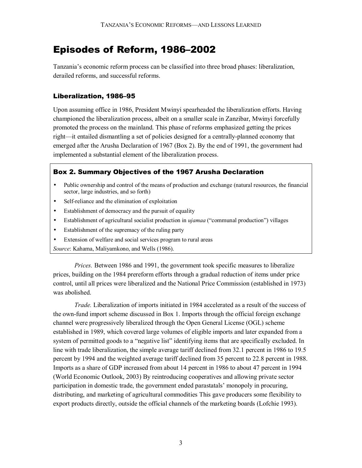## Episodes of Reform, 1986–2002

Tanzania's economic reform process can be classified into three broad phases: liberalization, derailed reforms, and successful reforms.

## Liberalization, 1986–95

Upon assuming office in 1986, President Mwinyi spearheaded the liberalization efforts. Having championed the liberalization process, albeit on a smaller scale in Zanzibar, Mwinyi forcefully promoted the process on the mainland. This phase of reforms emphasized getting the prices right—it entailed dismantling a set of policies designed for a centrally-planned economy that emerged after the Arusha Declaration of 1967 (Box 2). By the end of 1991, the government had implemented a substantial element of the liberalization process.

## Box 2. Summary Objectives of the 1967 Arusha Declaration

- Public ownership and control of the means of production and exchange (natural resources, the financial sector, large industries, and so forth)
- Self-reliance and the elimination of exploitation
- Establishment of democracy and the pursuit of equality
- Establishment of agricultural socialist production in *ujamaa* ("communal production") villages
- Establishment of the supremacy of the ruling party
- Extension of welfare and social services program to rural areas

*Source*: Kahama, Maliyamkono, and Wells (1986).

*Prices.* Between 1986 and 1991, the government took specific measures to liberalize prices, building on the 1984 prereform efforts through a gradual reduction of items under price control, until all prices were liberalized and the National Price Commission (established in 1973) was abolished.

*Trade.* Liberalization of imports initiated in 1984 accelerated as a result of the success of the own-fund import scheme discussed in Box 1. Imports through the official foreign exchange channel were progressively liberalized through the Open General License (OGL) scheme established in 1989, which covered large volumes of eligible imports and later expanded from a system of permitted goods to a "negative list" identifying items that are specifically excluded. In line with trade liberalization, the simple average tariff declined from 32.1 percent in 1986 to 19.5 percent by 1994 and the weighted average tariff declined from 35 percent to 22.8 percent in 1988. Imports as a share of GDP increased from about 14 percent in 1986 to about 47 percent in 1994 (World Economic Outlook, 2003) By reintroducing cooperatives and allowing private sector participation in domestic trade, the government ended parastatals' monopoly in procuring, distributing, and marketing of agricultural commodities This gave producers some flexibility to export products directly, outside the official channels of the marketing boards (Lofchie 1993).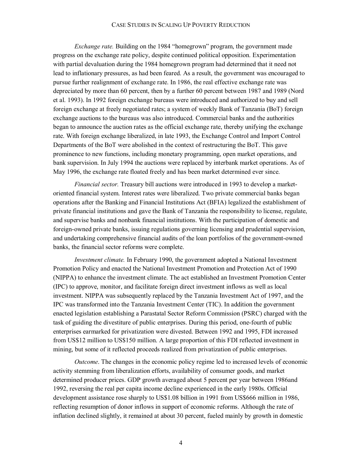*Exchange rate.* Building on the 1984 "homegrown" program, the government made progress on the exchange rate policy, despite continued political opposition. Experimentation with partial devaluation during the 1984 homegrown program had determined that it need not lead to inflationary pressures, as had been feared. As a result, the government was encouraged to pursue further realignment of exchange rate. In 1986, the real effective exchange rate was depreciated by more than 60 percent, then by a further 60 percent between 1987 and 1989 (Nord et al. 1993). In 1992 foreign exchange bureaus were introduced and authorized to buy and sell foreign exchange at freely negotiated rates; a system of weekly Bank of Tanzania (BoT) foreign exchange auctions to the bureaus was also introduced. Commercial banks and the authorities began to announce the auction rates as the official exchange rate, thereby unifying the exchange rate. With foreign exchange liberalized, in late 1993, the Exchange Control and Import Control Departments of the BoT were abolished in the context of restructuring the BoT. This gave prominence to new functions, including monetary programming, open market operations, and bank supervision. In July 1994 the auctions were replaced by interbank market operations. As of May 1996, the exchange rate floated freely and has been market determined ever since.

*Financial sector.* Treasury bill auctions were introduced in 1993 to develop a marketoriented financial system. Interest rates were liberalized. Two private commercial banks began operations after the Banking and Financial Institutions Act (BFIA) legalized the establishment of private financial institutions and gave the Bank of Tanzania the responsibility to license, regulate, and supervise banks and nonbank financial institutions. With the participation of domestic and foreign-owned private banks, issuing regulations governing licensing and prudential supervision, and undertaking comprehensive financial audits of the loan portfolios of the government-owned banks, the financial sector reforms were complete.

*Investment climate.* In February 1990, the government adopted a National Investment Promotion Policy and enacted the National Investment Promotion and Protection Act of 1990 (NIPPA) to enhance the investment climate. The act established an Investment Promotion Center (IPC) to approve, monitor, and facilitate foreign direct investment inflows as well as local investment. NIPPA was subsequently replaced by the Tanzania Investment Act of 1997, and the IPC was transformed into the Tanzania Investment Center (TIC). In addition the government enacted legislation establishing a Parastatal Sector Reform Commission (PSRC) charged with the task of guiding the divestiture of public enterprises. During this period, one-fourth of public enterprises earmarked for privatization were divested. Between 1992 and 1995, FDI increased from US\$12 million to US\$150 million. A large proportion of this FDI reflected investment in mining, but some of it reflected proceeds realized from privatization of public enterprises.

*Outcome*. The changes in the economic policy regime led to increased levels of economic activity stemming from liberalization efforts, availability of consumer goods, and market determined producer prices. GDP growth averaged about 5 percent per year between 1986and 1992, reversing the real per capita income decline experienced in the early 1980s. Official development assistance rose sharply to US\$1.08 billion in 1991 from US\$666 million in 1986, reflecting resumption of donor inflows in support of economic reforms. Although the rate of inflation declined slightly, it remained at about 30 percent, fueled mainly by growth in domestic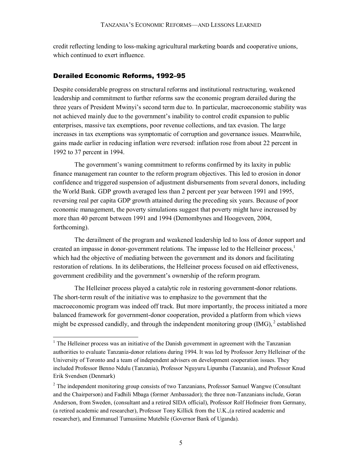credit reflecting lending to loss-making agricultural marketing boards and cooperative unions, which continued to exert influence.

#### Derailed Economic Reforms, 1992–95

 $\overline{a}$ 

Despite considerable progress on structural reforms and institutional restructuring, weakened leadership and commitment to further reforms saw the economic program derailed during the three years of President Mwinyi's second term due to. In particular, macroeconomic stability was not achieved mainly due to the government's inability to control credit expansion to public enterprises, massive tax exemptions, poor revenue collections, and tax evasion. The large increases in tax exemptions was symptomatic of corruption and governance issues. Meanwhile, gains made earlier in reducing inflation were reversed: inflation rose from about 22 percent in 1992 to 37 percent in 1994.

The government's waning commitment to reforms confirmed by its laxity in public finance management ran counter to the reform program objectives. This led to erosion in donor confidence and triggered suspension of adjustment disbursements from several donors, including the World Bank. GDP growth averaged less than 2 percent per year between 1991 and 1995, reversing real per capita GDP growth attained during the preceding six years. Because of poor economic management, the poverty simulations suggest that poverty might have increased by more than 40 percent between 1991 and 1994 (Demombynes and Hoogeveen, 2004, forthcoming).

The derailment of the program and weakened leadership led to loss of donor support and created an impasse in donor-government relations. The impasse led to the Helleiner process,<sup>1</sup> which had the objective of mediating between the government and its donors and facilitating restoration of relations. In its deliberations, the Helleiner process focused on aid effectiveness, government credibility and the government's ownership of the reform program.

The Helleiner process played a catalytic role in restoring government-donor relations. The short-term result of the initiative was to emphasize to the government that the macroeconomic program was indeed off track. But more importantly, the process initiated a more balanced framework for government-donor cooperation, provided a platform from which views might be expressed candidly, and through the independent monitoring group (IMG),  $^{2}$  established

<sup>&</sup>lt;sup>1</sup> The Helleiner process was an initiative of the Danish government in agreement with the Tanzanian authorities to evaluate Tanzania-donor relations during 1994. It was led by Professor Jerry Helleiner of the University of Toronto and a team of independent advisers on development cooperation issues. They included Professor Benno Ndulu (Tanzania), Professor Nguyuru Lipumba (Tanzania), and Professor Knud Erik Svendsen (Denmark)

 $2^2$  The independent monitoring group consists of two Tanzanians, Professor Samuel Wangwe (Consultant and the Chairperson) and Fadhili Mbaga (former Ambassador); the three non-Tanzanians include, Goran Anderson, from Sweden, (consultant and a retired SIDA official), Professor Rolf Hofmeier from Germany, (a retired academic and researcher), Professor Tony Killick from the U.K.,(a retired academic and researcher), and Emmanuel Tumusiime Mutebile (Governor Bank of Uganda).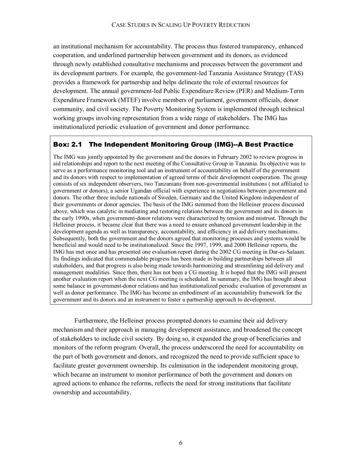an institutional mechanism for accountability. The process thus fostered transparency, enhanced cooperation, and underlined partnership between government and its donors, as evidenced through newly established consultative mechanisms and processes between the government and its development partners. For example, the government-led Tanzania Assistance Strategy (TAS) provides a framework for partnership and helps delineate the role of external resources for development. The annual government-led Public Expenditure Review (PER) and Medium-Term Expenditure Framework (MTEF) involve members of parliament, government officials, donor community, and civil society. The Poverty Monitoring System is implemented through technical working groups involving representation from a wide range of stakeholders. The IMG has institutionalized periodic evaluation of government and donor performance.

### Box: 2.1 The Independent Monitoring Group (IMG)--A Best Practice

The IMG was jointly appointed by the government and the donors in February 2002 to review progress in aid relationships and report to the next meeting of the Consultative Group in Tanzania. Its objective was to serve as a performance monitoring tool and an instrument of accountability on behalf of the government and its donors with respect to implementation of agreed terms of their development cooperation. The group consists of six independent observers, two Tanzanians from non-governmental institutions ( not affiliated to government or donors), a senior Ugandan official with experience in negotiations between government and donors. The other three include nationals of Sweden, Germany and the United Kingdom independent of their governments or donor agencies. The basis of the IMG stemmed from the Helleiner process discussed above, which was catalytic in mediating and restoring relations between the government and its donors in the early 1990s, when government-donor relations were characterized by tension and mistrust. Through the Helleiner process, it became clear that there was a need to ensure enhanced government leadership in the development agenda as well as transparency, accountability, and efficiency in aid delivery mechanisms. Subsequently, both the government and the donors agreed that monitoring processes and systems would be beneficial and would need to be institutionalized. Since the 1997, 1999, and 2000 Helleiner reports, the IMG has met once and has presented one evaluation report during the 2002 CG meeting in Dar-es-Salaam. Its findings indicated that commendable progress has been made in building partnerships between all stakeholders, and that progress is also being made towards harmonizing and streamlining aid delivery and management modalities. Since then, there has not been a CG meeting. It is hoped that the IMG will present another evaluation report when the next CG meeting is scheduled. In summary, the IMG has brought about some balance in government-donor relations and has institutionalized periodic evaluation of government as well as donor performance. The IMG has become an embodiment of an accountability framework for the government and its donors and an instrument to foster a partnership approach to development.

Furthermore, the Helleiner process prompted donors to examine their aid delivery mechanism and their approach in managing development assistance, and broadened the concept of stakeholders to include civil society. By doing so, it expanded the group of beneficiaries and monitors of the reform program. Overall, the process underscored the need for accountability on the part of both government and donors, and recognized the need to provide sufficient space to facilitate greater government ownership. Its culmination in the independent monitoring group, which became an instrument to monitor performance of both the government and donors on agreed actions to enhance the reforms, reflects the need for strong institutions that facilitate ownership and accountability.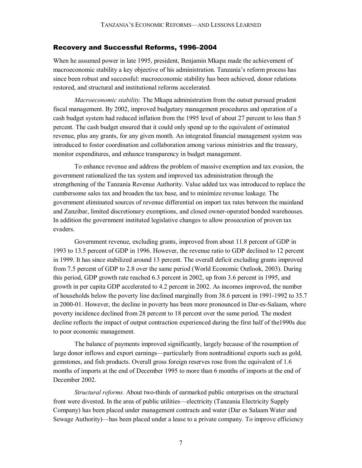#### Recovery and Successful Reforms, 1996–2004

When he assumed power in late 1995, president, Benjamin Mkapa made the achievement of macroeconomic stability a key objective of his administration. Tanzania's reform process has since been robust and successful: macroeconomic stability has been achieved, donor relations restored, and structural and institutional reforms accelerated.

*Macroeconomic stability.* The Mkapa administration from the outset pursued prudent fiscal management. By 2002, improved budgetary management procedures and operation of a cash budget system had reduced inflation from the 1995 level of about 27 percent to less than 5 percent. The cash budget ensured that it could only spend up to the equivalent of estimated revenue, plus any grants, for any given month. An integrated financial management system was introduced to foster coordination and collaboration among various ministries and the treasury, monitor expenditures, and enhance transparency in budget management.

To enhance revenue and address the problem of massive exemption and tax evasion, the government rationalized the tax system and improved tax administration through the strengthening of the Tanzania Revenue Authority. Value added tax was introduced to replace the cumbersome sales tax and broaden the tax base, and to minimize revenue leakage. The government eliminated sources of revenue differential on import tax rates between the mainland and Zanzibar, limited discretionary exemptions, and closed owner-operated bonded warehouses. In addition the government instituted legislative changes to allow prosecution of proven tax evaders.

Government revenue, excluding grants, improved from about 11.8 percent of GDP in 1993 to 13.5 percent of GDP in 1996. However, the revenue ratio to GDP declined to 12 percent in 1999. It has since stabilized around 13 percent. The overall deficit excluding grants improved from 7.5 percent of GDP to 2.8 over the same period (World Economic Outlook, 2003). During this period, GDP growth rate reached 6.3 percent in 2002, up from 3.6 percent in 1995, and growth in per capita GDP accelerated to 4.2 percent in 2002. As incomes improved, the number of households below the poverty line declined marginally from 38.6 percent in 1991-1992 to 35.7 in 2000-01. However, the decline in poverty has been more pronounced in Dar-es-Salaam, where poverty incidence declined from 28 percent to 18 percent over the same period. The modest decline reflects the impact of output contraction experienced during the first half of the1990s due to poor economic management.

The balance of payments improved significantly, largely because of the resumption of large donor inflows and export earnings—particularly from nontraditional exports such as gold, gemstones, and fish products. Overall gross foreign reserves rose from the equivalent of 1.6 months of imports at the end of December 1995 to more than 6 months of imports at the end of December 2002.

*Structural reforms.* About two-thirds of earmarked public enterprises on the structural front were divested. In the area of public utilities—electricity (Tanzania Electricity Supply Company) has been placed under management contracts and water (Dar es Salaam Water and Sewage Authority)—has been placed under a lease to a private company. To improve efficiency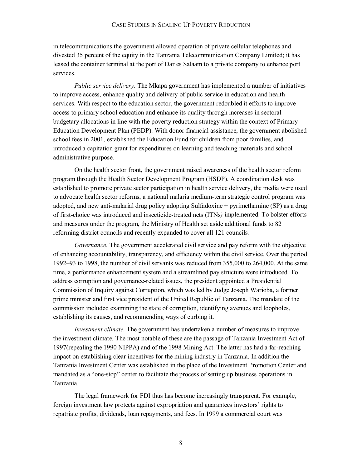in telecommunications the government allowed operation of private cellular telephones and divested 35 percent of the equity in the Tanzania Telecommunication Company Limited; it has leased the container terminal at the port of Dar es Salaam to a private company to enhance port services.

*Public service delivery*. The Mkapa government has implemented a number of initiatives to improve access, enhance quality and delivery of public service in education and health services. With respect to the education sector, the government redoubled it efforts to improve access to primary school education and enhance its quality through increases in sectoral budgetary allocations in line with the poverty reduction strategy within the context of Primary Education Development Plan (PEDP). With donor financial assistance, the government abolished school fees in 2001, established the Education Fund for children from poor families, and introduced a capitation grant for expenditures on learning and teaching materials and school administrative purpose.

On the health sector front, the government raised awareness of the health sector reform program through the Health Sector Development Program (HSDP). A coordination desk was established to promote private sector participation in health service delivery, the media were used to advocate health sector reforms, a national malaria medium-term strategic control program was adopted, and new anti-malarial drug policy adopting Sulfadoxine + pyrimethamine (SP) as a drug of first-choice was introduced and insecticide-treated nets (ITNs*)* implemented. To bolster efforts and measures under the program, the Ministry of Health set aside additional funds to 82 reforming district councils and recently expanded to cover all 121 councils*.*

*Governance.* The government accelerated civil service and pay reform with the objective of enhancing accountability, transparency, and efficiency within the civil service. Over the period 1992–93 to 1998, the number of civil servants was reduced from 355,000 to 264,000. At the same time, a performance enhancement system and a streamlined pay structure were introduced. To address corruption and governance-related issues, the president appointed a Presidential Commission of Inquiry against Corruption, which was led by Judge Joseph Warioba, a former prime minister and first vice president of the United Republic of Tanzania. The mandate of the commission included examining the state of corruption, identifying avenues and loopholes, establishing its causes, and recommending ways of curbing it.

*Investment climate.* The government has undertaken a number of measures to improve the investment climate. The most notable of these are the passage of Tanzania Investment Act of 1997(repealing the 1990 NIPPA) and of the 1998 Mining Act. The latter has had a far-reaching impact on establishing clear incentives for the mining industry in Tanzania. In addition the Tanzania Investment Center was established in the place of the Investment Promotion Center and mandated as a "one-stop" center to facilitate the process of setting up business operations in Tanzania.

The legal framework for FDI thus has become increasingly transparent. For example, foreign investment law protects against expropriation and guarantees investors' rights to repatriate profits, dividends, loan repayments, and fees. In 1999 a commercial court was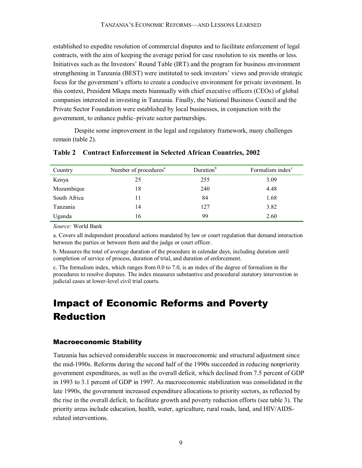established to expedite resolution of commercial disputes and to facilitate enforcement of legal contracts, with the aim of keeping the average period for case resolution to six months or less. Initiatives such as the Investors' Round Table (IRT) and the program for business environment strengthening in Tanzania (BEST) were instituted to seek investors' views and provide strategic focus for the government's efforts to create a conducive environment for private investment. In this context, President Mkapa meets biannually with chief executive officers (CEOs) of global companies interested in investing in Tanzania. Finally, the National Business Council and the Private Sector Foundation were established by local businesses, in conjunction with the government, to enhance public–private sector partnerships.

Despite some improvement in the legal and regulatory framework, many challenges remain (table 2).

| Country      | Number of procedures <sup>a</sup> | Duration <sup>b</sup> | Formalism index <sup>c</sup> |
|--------------|-----------------------------------|-----------------------|------------------------------|
| Kenya        | 25                                | 255                   | 3.09                         |
| Mozambique   | 18                                | 240                   | 4.48                         |
| South Africa | l 1                               | 84                    | 1.68                         |
| Tanzania     | 14                                | 127                   | 3.82                         |
| Uganda       | 16                                | 99                    | 2.60                         |

#### **Table 2 Contract Enforcement in Selected African Countries, 2002**

*Source:* World Bank

a. Covers all independent procedural actions mandated by law or court regulation that demand interaction between the parties or between them and the judge or court officer.

b. Measures the total of average duration of the procedure in calendar days, including duration until completion of service of process, duration of trial, and duration of enforcement.

c. The formalism index, which ranges from 0.0 to 7.0, is an index of the degree of formalism in the procedures to resolve disputes. The index measures substantive and procedural statutory intervention in judicial cases at lower-level civil trial courts.

## Impact of Economic Reforms and Poverty Reduction

#### Macroeconomic Stability

Tanzania has achieved considerable success in macroeconomic and structural adjustment since the mid-1990s. Reforms during the second half of the 1990s succeeded in reducing nonpriority government expenditures, as well as the overall deficit, which declined from 7.5 percent of GDP in 1993 to 3.1 percent of GDP in 1997. As macroeconomic stabilization was consolidated in the late 1990s, the government increased expenditure allocations to priority sectors, as reflected by the rise in the overall deficit, to facilitate growth and poverty reduction efforts (see table 3). The priority areas include education, health, water, agriculture, rural roads, land, and HIV/AIDSrelated interventions.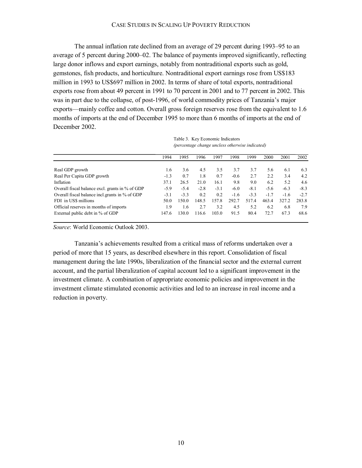The annual inflation rate declined from an average of 29 percent during 1993–95 to an average of 5 percent during 2000–02. The balance of payments improved significantly, reflecting large donor inflows and export earnings, notably from nontraditional exports such as gold, gemstones, fish products, and horticulture. Nontraditional export earnings rose from US\$183 million in 1993 to US\$697 million in 2002. In terms of share of total exports, nontraditional exports rose from about 49 percent in 1991 to 70 percent in 2001 and to 77 percent in 2002. This was in part due to the collapse, of post-1996, of world commodity prices of Tanzania's major exports—mainly coffee and cotton. Overall gross foreign reserves rose from the equivalent to 1.6 months of imports at the end of December 1995 to more than 6 months of imports at the end of December 2002.

| Table 3. Key Economic Indicators                |
|-------------------------------------------------|
| (percentage change uncless otherwise indicated) |

|                                                 | 1994   | 1995   | 1996   | 1997   | 1998   | 1999   | 2000   | 2001   | 2002   |
|-------------------------------------------------|--------|--------|--------|--------|--------|--------|--------|--------|--------|
|                                                 |        |        |        |        |        |        |        |        |        |
| Real GDP growth                                 | 1.6    | 3.6    | 4.5    | 3.5    | 3.7    | 3.7    | 5.6    | 6.1    | 6.3    |
| Real Per Capita GDP growth                      | $-1.3$ | 0.7    | 1.8    | 0.7    | $-0.6$ | 2.7    | 2.2    | 3.4    | 4.2    |
| Inflation                                       | 37.1   | 26.5   | 21.0   | 16.1   | 9.8    | 9.0    | 6.2    | 5.2    | 4.6    |
| Overall fiscal balance excl. grants in % of GDP | $-5.9$ | $-5.4$ | $-2.8$ | $-3.1$ | $-6.0$ | $-8.1$ | $-5.6$ | $-6.3$ | $-8.3$ |
| Overall fiscal balance incl. grants in % of GDP | $-3.1$ | $-3.3$ | 0.2    | 0.2    | $-1.6$ | $-3.3$ | $-1.7$ | $-1.6$ | $-2.7$ |
| FDI in US\$ millions                            | 50.0   | 150.0  | 148.5  | 157.8  | 292.7  | 517.4  | 463.4  | 327.2  | 283.8  |
| Official reserves in months of imports          | 1.9    | 1.6    | 2.7    | 3.2    | 4.5    | 5.2    | 6.2    | 6.8    | 7.9    |
| External public debt in % of GDP                | 147.6  | 130.0  | 116.6  | 103.0  | 91.5   | 80.4   | 72.7   | 67.3   | 68.6   |

*Source*: World Economic Outlook 2003.

Tanzania's achievements resulted from a critical mass of reforms undertaken over a period of more that 15 years, as described elsewhere in this report. Consolidation of fiscal management during the late 1990s, liberalization of the financial sector and the external current account, and the partial liberalization of capital account led to a significant improvement in the investment climate. A combination of appropriate economic policies and improvement in the investment climate stimulated economic activities and led to an increase in real income and a reduction in poverty.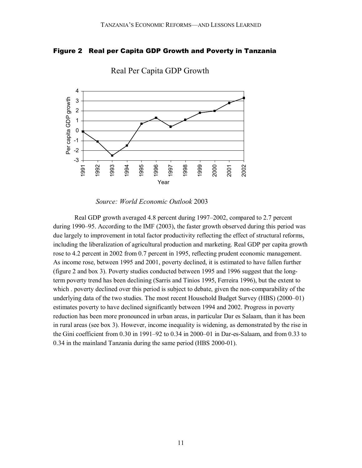#### Figure 2 Real per Capita GDP Growth and Poverty in Tanzania



Real Per Capita GDP Growth

Real GDP growth averaged 4.8 percent during 1997–2002, compared to 2.7 percent during 1990–95. According to the IMF (2003), the faster growth observed during this period was due largely to improvement in total factor productivity reflecting the effect of structural reforms, including the liberalization of agricultural production and marketing. Real GDP per capita growth rose to 4.2 percent in 2002 from 0.7 percent in 1995, reflecting prudent economic management. As income rose, between 1995 and 2001, poverty declined, it is estimated to have fallen further (figure 2 and box 3). Poverty studies conducted between 1995 and 1996 suggest that the longterm poverty trend has been declining (Sarris and Tinios 1995, Ferreira 1996), but the extent to which . poverty declined over this period is subject to debate, given the non-comparability of the underlying data of the two studies. The most recent Household Budget Survey (HBS) (2000–01) estimates poverty to have declined significantly between 1994 and 2002. Progress in poverty reduction has been more pronounced in urban areas, in particular Dar es Salaam, than it has been in rural areas (see box 3). However, income inequality is widening, as demonstrated by the rise in the Gini coefficient from 0.30 in 1991–92 to 0.34 in 2000–01 in Dar-es-Salaam, and from 0.33 to 0.34 in the mainland Tanzania during the same period (HBS 2000-01).

*Source: World Economic Outlook* 2003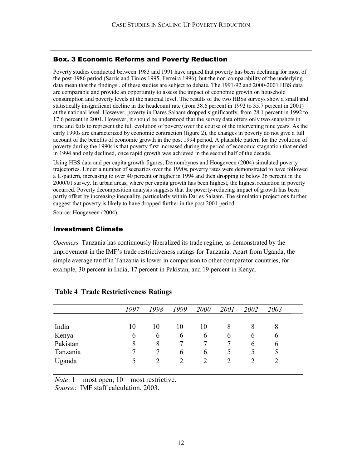#### Box. 3 Economic Reforms and Poverty Reduction

Poverty studies conducted between 1983 and 1991 have argued that poverty has been declining for most of the post-1986 period (Sarris and Tinios 1995, Ferreira 1996), but the non-comparability of the underlying data mean that the findings . of these studies are subject to debate. The 1991-92 and 2000-2001 HBS data are comparable and provide an opportunity to assess the impact of economic growth on household consumption and poverty levels at the national level. The results of the two HBSs surveys show a small and statistically insignificant decline in the headcount rate (from 38.6 percent in 1992 to 35.7 percent in 2001) at the national level. However, poverty in Dares Salaam dropped significantly, from 28.1 percent in 1992 to 17.6 percent in 2001. However, it should be understood that the survey data offers only two snapshots in time and fails to represent the full evolution of poverty over the course of the intervening nine years. As the early 1990s are characterized by economic contraction (figure 2), the changes in poverty do not give a full account of the benefits of economic growth in the post 1994 period. A plausible pattern for the evolution of poverty during the 1990s is that poverty first increased during the period of economic stagnation that ended in 1994 and only declined, once rapid growth was achieved in the second half of the decade.

Using HBS data and per capita growth figures, Demombynes and Hoogeveen (2004) simulated poverty trajectories. Under a number of scenarios over the 1990s, poverty rates were demonstrated to have followed a U-pattern, increasing to over 40 percent or higher in 1994 and then dropping to below 36 percent in the 2000/01 survey. In urban areas, where per capita growth has been highest, the highest reduction in poverty occurred. Poverty decomposition analysis suggests that the poverty-reducing impact of growth has been partly offset by increasing inequality, particularly within Dar es Salaam. The simulation projections further suggest that poverty is likely to have dropped further in the post 2001 period.

Source: Hoogeveen (2004).

#### Investment Climate

*Openness.* Tanzania has continuously liberalized its trade regime, as demonstrated by the improvement in the IMF's trade restrictiveness ratings for Tanzania. Apart from Uganda, the simple average tariff in Tanzania is lower in comparison to other comparator countries, for example, 30 percent in India, 17 percent in Pakistan, and 19 percent in Kenya.

|          | 1997 | 1998          | 1999          | 2000          | 2001          | 2002         | 2003 |  |
|----------|------|---------------|---------------|---------------|---------------|--------------|------|--|
|          |      |               |               |               |               |              |      |  |
| India    | 10   | 10            | 10            | 10            | 8             | 8            | 8    |  |
| Kenya    | 6    | $\mathfrak b$ | $\mathfrak b$ | $\mathfrak b$ | $\mathfrak b$ | <sub>0</sub> | b    |  |
| Pakistan | 8    | 8             | 7             | 7             |               | <sub>b</sub> | b    |  |
| Tanzania |      |               | b             | $\mathfrak b$ | C             | C            |      |  |
| Uganda   |      |               |               |               |               |              |      |  |

#### **Table 4 Trade Restrictiveness Ratings**

*Note*:  $1 = \text{most open}$ ;  $10 = \text{most restrictive}$ .

*Source*: IMF staff calculation, 2003.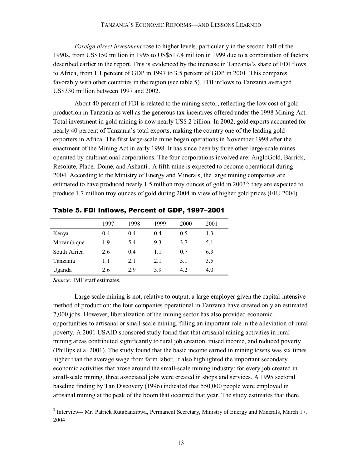#### TANZANIA'S ECONOMIC REFORMS—AND LESSONS LEARNED

*Foreign direct investment* rose to higher levels, particularly in the second half of the 1990s, from US\$150 million in 1995 to US\$517.4 million in 1999 due to a combination of factors described earlier in the report. This is evidenced by the increase in Tanzania's share of FDI flows to Africa, from 1.1 percent of GDP in 1997 to 3.5 percent of GDP in 2001. This compares favorably with other countries in the region (see table 5). FDI inflows to Tanzania averaged US\$330 million between 1997 and 2002.

About 40 percent of FDI is related to the mining sector, reflecting the low cost of gold production in Tanzania as well as the generous tax incentives offered under the 1998 Mining Act. Total investment in gold mining is now nearly US\$ 2 billion. In 2002, gold exports accounted for nearly 40 percent of Tanzania's total exports, making the country one of the leading gold exporters in Africa. The first large-scale mine began operations in November 1998 after the enactment of the Mining Act in early 1998. It has since been by three other large-scale mines operated by multinational corporations. The four corporations involved are: AngloGold, Barrick, Resolute, Placer Dome, and Ashanti.. A fifth mine is expected to become operational during 2004. According to the Ministry of Energy and Minerals, the large mining companies are estimated to have produced nearly 1.5 million troy ounces of gold in  $2003^3$ ; they are expected to produce 1.7 million troy ounces of gold during 2004 in view of higher gold prices (EIU 2004).

|              | 1997 | 1998 | 1999 | 2000 | 2001 |  |
|--------------|------|------|------|------|------|--|
| Kenya        | 0.4  | 04   | 0.4  | 0.5  | 1.3  |  |
| Mozambique   | 1.9  | 5.4  | 9.3  | 3.7  | 5.1  |  |
| South Africa | 2.6  | 04   | 1.1  | 0.7  | 6.3  |  |
| Tanzania     | 11   | 21   | 21   | 51   | 3.5  |  |
| Uganda       | 2.6  | 29   | 39   | 42   | 4.0  |  |

Table 5. FDI Inflows, Percent of GDP, 1997–2001

*Source:* IMF staff estimates.

 $\overline{a}$ 

Large-scale mining is not, relative to output, a large employer given the capital-intensive method of production: the four companies operational in Tanzania have created only an estimated 7,000 jobs. However, liberalization of the mining sector has also provided economic opportunities to artisanal or small-scale mining, filling an important role in the alleviation of rural poverty. A 2001 USAID sponsored study found that that artisanal mining activities in rural mining areas contributed significantly to rural job creation, raised income, and reduced poverty (Phillips et.al 2001). The study found that the basic income earned in mining towns was six times higher than the average wage from farm labor. It also highlighted the important secondary economic activities that arose around the small-scale mining industry: for every job created in small-scale mining, three associated jobs were created in shops and services. A 1995 sectoral baseline finding by Tan Discovery (1996) indicated that 550,000 people were employed in artisanal mining at the peak of the boom that occurred that year. The study estimates that there

<sup>&</sup>lt;sup>3</sup> Interview-- Mr. Patrick Rutabanzibwa, Permanent Secretary, Ministry of Energy and Minerals, March 17, 2004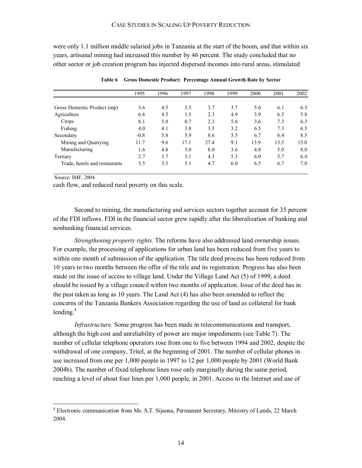were only 1.1 million middle salaried jobs in Tanzania at the start of the boom, and that within six years, artisanal mining had increased this number by 46 percent. The study concluded that no other sector or job creation program has injected dispersed incomes into rural areas, stimulated

|                               | 1995   | 1996 | 1997 | 1998 | 1999 | 2000 | 2001 | 2002 |
|-------------------------------|--------|------|------|------|------|------|------|------|
|                               |        |      |      |      |      |      |      |      |
| Gross Domestic Product (mp)   | 3.6    | 4.5  | 3.5  | 3.7  | 3.7  | 5.6  | 6.1  | 6.3  |
| Agriculture                   | 6.6    | 4.5  | 1.5  | 2.3  | 4.9  | 3.9  | 6.5  | 5.8  |
| Crops                         | 8.1    | 5.0  | 0.7  | 2.3  | 5.6  | 3.6  | 7.3  | 6.3  |
| Fishing                       | 4.0    | 4.1  | 3.8  | 3.5  | 3.2  | 6.5  | 7.3  | 6.5  |
| Secondary                     | $-0.8$ | 5.8  | 5.9  | 8.6  | 5.5  | 6.7  | 6.4  | 8.5  |
| Mining and Quarrying          | 11.7   | 9.6  | 17.1 | 27.4 | 9.1  | 13.9 | 13.5 | 15.0 |
| Manufacturing                 | 1.6    | 4.8  | 5.0  | 8.0  | 3.6  | 4.8  | 5.0  | 8.0  |
| Tertiary                      | 2.7    | 3.7  | 3.1  | 4.3  | 5.3  | 6.0  | 5.7  | 6.4  |
| Trade, hotels and restaurants | 3.5    | 3.5  | 5.1  | 4.7  | 6.0  | 6.5  | 6.7  | 7.0  |

**Table 6 Gross Domestic Product: Percentage Annual Growth Rate by Sector** 

Source: IMF, 2004

 $\overline{a}$ 

cash flow, and reduced rural poverty on this scale.

Second to mining, the manufacturing and services sectors together account for 35 percent of the FDI inflows. FDI in the financial sector grew rapidly after the liberalization of banking and nonbanking financial services.

*Strengthening property rights.* The reforms have also addressed land ownership issues. For example, the processing of applications for urban land has been reduced from five years to within one month of submission of the application. The title deed process has been reduced from 10 years to two months between the offer of the title and its registration. Progress has also been made on the issue of access to village land. Under the Village Land Act (5) of 1999, a deed should be issued by a village council within two months of application. Issue of the deed has in the past taken as long as 10 years. The Land Act (4) has also been amended to reflect the concerns of the Tanzania Bankers Association regarding the use of land as collateral for bank lending. $4$ 

*Infrastructure.* Some progress has been made in telecommunications and transport, although the high cost and unreliability of power are major impediments (see Table 7). The number of cellular telephone operators rose from one to five between 1994 and 2002, despite the withdrawal of one company, Tritel, at the beginning of 2001. The number of cellular phones in use increased from one per 1,000 people in 1997 to 12 per 1,000 people by 2001 (World Bank 2004b). The number of fixed telephone lines rose only marginally during the same period, reaching a level of about four lines per 1,000 people, in 2001. Access to the Internet and use of

<sup>&</sup>lt;sup>4</sup> Electronic communication from Ms. S.T. Sijaona, Permanent Secretary, Ministry of Lands, 22 March 2004.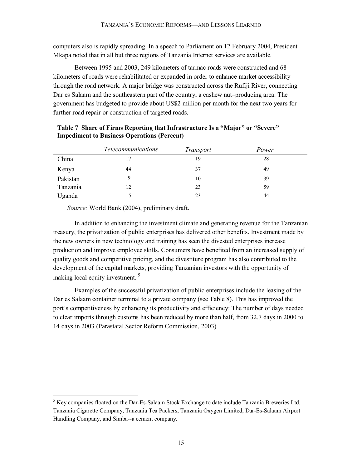computers also is rapidly spreading. In a speech to Parliament on 12 February 2004, President Mkapa noted that in all but three regions of Tanzania Internet services are available.

Between 1995 and 2003, 249 kilometers of tarmac roads were constructed and 68 kilometers of roads were rehabilitated or expanded in order to enhance market accessibility through the road network. A major bridge was constructed across the Rufiji River, connecting Dar es Salaam and the southeastern part of the country, a cashew nut–producing area. The government has budgeted to provide about US\$2 million per month for the next two years for further road repair or construction of targeted roads.

|          | <i>Telecommunications</i> | <b>Transport</b> | Power |
|----------|---------------------------|------------------|-------|
| China    | 17                        | 19               | 28    |
| Kenya    | 44                        | 37               | 49    |
| Pakistan | 9                         | 10               | 39    |
| Tanzania | 12                        | 23               | 59    |
| Uganda   |                           | 23               | 44    |

#### **Table 7 Share of Firms Reporting that Infrastructure Is a "Major" or "Severe" Impediment to Business Operations (Percent)**

*Source:* World Bank (2004), preliminary draft.

 $\overline{a}$ 

In addition to enhancing the investment climate and generating revenue for the Tanzanian treasury, the privatization of public enterprises has delivered other benefits. Investment made by the new owners in new technology and training has seen the divested enterprises increase production and improve employee skills. Consumers have benefited from an increased supply of quality goods and competitive pricing, and the divestiture program has also contributed to the development of the capital markets, providing Tanzanian investors with the opportunity of making local equity investment.<sup>5</sup>

Examples of the successful privatization of public enterprises include the leasing of the Dar es Salaam container terminal to a private company (see Table 8). This has improved the port's competitiveness by enhancing its productivity and efficiency: The number of days needed to clear imports through customs has been reduced by more than half, from 32.7 days in 2000 to 14 days in 2003 (Parastatal Sector Reform Commission, 2003)

<sup>&</sup>lt;sup>5</sup> Key companies floated on the Dar-Es-Salaam Stock Exchange to date include Tanzania Breweries Ltd, Tanzania Cigarette Company, Tanzania Tea Packers, Tanzania Oxygen Limited, Dar-Es-Salaam Airport Handling Company, and Simba--a cement company.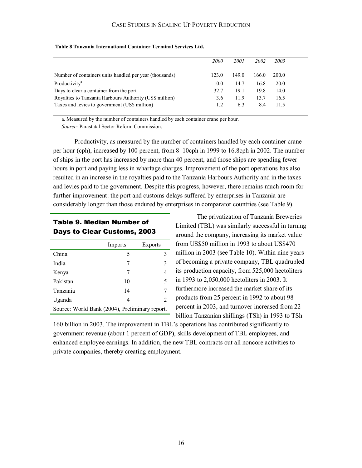|                                                         | 2000  | 2001  | 2002  | 2003  |
|---------------------------------------------------------|-------|-------|-------|-------|
|                                                         |       |       |       |       |
| Number of containers units handled per year (thousands) | 123.0 | 149.0 | 166.0 | 200.0 |
| Productivity <sup>a</sup>                               | 10.0  | 14.7  | 16.8  | 20.0  |
| Days to clear a container from the port                 | 32.7  | 19.1  | 19.8  | 14.0  |
| Royalties to Tanzania Harbours Authority (US\$ million) | 3.6   | 119   | 13.7  | 16.5  |
| Taxes and levies to government (US\$ million)           |       | 6.3   | 8.4   | 11.5  |
|                                                         |       |       |       |       |

#### **Table 8 Tanzania International Container Terminal Services Ltd.**

*Source:* Parastatal Sector Reform Commission. a. Measured by the number of containers handled by each container crane per hour.

Productivity, as measured by the number of containers handled by each container crane per hour (cph), increased by 100 percent, from 8–10cph in 1999 to 16.8cph in 2002. The number of ships in the port has increased by more than 40 percent, and those ships are spending fewer hours in port and paying less in wharfage charges. Improvement of the port operations has also resulted in an increase in the royalties paid to the Tanzania Harbours Authority and in the taxes and levies paid to the government. Despite this progress, however, there remains much room for further improvement: the port and customs delays suffered by enterprises in Tanzania are considerably longer than those endured by enterprises in comparator countries (see Table 9).

### Table 9. Median Number of Days to Clear Customs, 2003

|                                                | Imports | Exports |  |  |  |  |
|------------------------------------------------|---------|---------|--|--|--|--|
| China                                          | 5       | 3       |  |  |  |  |
| India                                          |         | 3       |  |  |  |  |
| Kenya                                          | 7       | 4       |  |  |  |  |
| Pakistan                                       | 10      | 5       |  |  |  |  |
| Tanzania                                       | 14      |         |  |  |  |  |
| Uganda                                         | 4       | 2       |  |  |  |  |
| Source: World Bank (2004), Preliminary report. |         |         |  |  |  |  |

The privatization of Tanzania Breweries Limited (TBL) was similarly successful in turning around the company, increasing its market value from US\$50 million in 1993 to about US\$470 million in 2003 (see Table 10). Within nine years of becoming a private company, TBL quadrupled its production capacity, from 525,000 hectoliters in 1993 to 2,050,000 hectoliters in 2003. It furthermore increased the market share of its products from 25 percent in 1992 to about 98 percent in 2003, and turnover increased from 22 billion Tanzanian shillings (TSh) in 1993 to TSh

160 billion in 2003. The improvement in TBL's operations has contributed significantly to government revenue (about 1 percent of GDP), skills development of TBL employees, and enhanced employee earnings. In addition, the new TBL contracts out all noncore activities to private companies, thereby creating employment.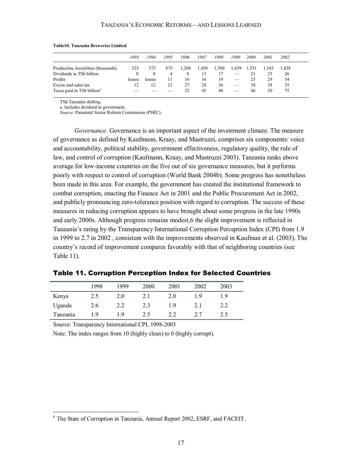#### **Table10. Tanzania Breweries Limited**

|                                        | 1993     | 1994     | 1995 | 1996  | 1997  | 1998  | 1999                          | 2000  | 2001  | 2002  |  |
|----------------------------------------|----------|----------|------|-------|-------|-------|-------------------------------|-------|-------|-------|--|
| Production, hectolitres (thousands)    | 525      | 575      | 875  | 1.200 | 1,450 | 1,500 | 1,659                         | 1.551 | 1.545 | 1.828 |  |
| Dividends in TSh billion               | $\theta$ | $\Omega$ | 4    | 8     | 13    | 17    |                               |       | 25    | 26    |  |
| Profits                                | losses   | losses   | 11   | 16    | 16    | 19    | $\overbrace{\phantom{12333}}$ | 25    | 29    | 34    |  |
| Excise and sales tax                   | 12       | 12       | 23   | 27    | 28    | 36    |                               | 38    | 38    | 35    |  |
| Taxes paid in TSh billion <sup>a</sup> |          |          |      | 32    | 45    | 48    | $\overline{\phantom{a}}$      | 46    | 50    | 75    |  |

TSh Tanzania shilling.

a. Includes dividend to government.

*Source:* Parastatal Sector Reform Commission (PSRC).

*Governance*. Governance is an important aspect of the investment climate. The measure of governance as defined by Kaufmann, Kraay, and Mastruzzi, comprises six components: voice and accountability, political stability, government effectiveness, regulatory quality, the rule of law, and control of corruption (Kaufmann, Kraay, and Mastruzzi 2003). Tanzania ranks above average for low-income countries on the five out of six governance measures, but it performs poorly with respect to control of corruption (World Bank 2004b). Some progress has nonetheless been made in this area. For example, the government has created the institutional framework to combat corruption, enacting the Finance Act in 2001 and the Public Procurement Act in 2002, and publicly pronouncing zero-tolerance position with regard to corruption. The success of these measures in reducing corruption appears to have brought about some progress in the late 1990s and early 2000s. Although progress remains modest,6 the slight improvement is reflected in Tanzania's rating by the Transparency International Corruption Perception Index (CPI) from 1.9 in 1999 to 2.7 in 2002 , consistent with the improvements observed in Kaufman et al. (2003). The country's record of improvement compares favorably with that of neighboring countries (see Table 11).

|          | 1998 | 1999 | 2000 | 2001 | 2002 | 2003       |
|----------|------|------|------|------|------|------------|
| Kenya    | 2.5  | 2.0  | 2.1  | 2.0  | 19   | $\sqrt{9}$ |
| Uganda   | 2.6  | 2.2  | 2.3  | 1.9  |      |            |
| Tanzania | 19   | 19   | 2.5  |      |      | 2.5        |

Table 11. Corruption Perception Index for Selected Countries

Source: Transparency International CPI, 1998-2003

 $\overline{a}$ 

Note: The index ranges from 10 (highly clean) to 0 (highly corrupt).

<sup>&</sup>lt;sup>6</sup> The State of Corruption in Tanzania, Annual Report 2002, ESRF, and FACEIT.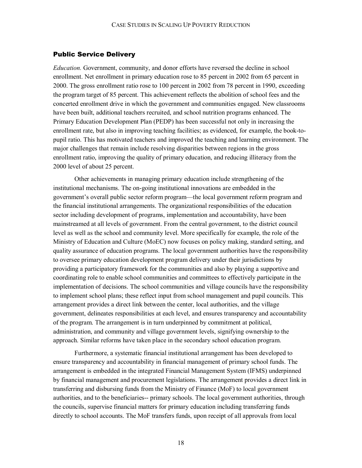#### Public Service Delivery

*Education.* Government, community, and donor efforts have reversed the decline in school enrollment. Net enrollment in primary education rose to 85 percent in 2002 from 65 percent in 2000. The gross enrollment ratio rose to 100 percent in 2002 from 78 percent in 1990, exceeding the program target of 85 percent. This achievement reflects the abolition of school fees and the concerted enrollment drive in which the government and communities engaged. New classrooms have been built, additional teachers recruited, and school nutrition programs enhanced. The Primary Education Development Plan (PEDP) has been successful not only in increasing the enrollment rate, but also in improving teaching facilities; as evidenced, for example, the book-topupil ratio. This has motivated teachers and improved the teaching and learning environment. The major challenges that remain include resolving disparities between regions in the gross enrollment ratio, improving the quality of primary education, and reducing illiteracy from the 2000 level of about 25 percent.

Other achievements in managing primary education include strengthening of the institutional mechanisms. The on-going institutional innovations are embedded in the government's overall public sector reform program—the local government reform program and the financial institutional arrangements. The organizational responsibilities of the education sector including development of programs, implementation and accountability, have been mainstreamed at all levels of government. From the central government, to the district council level as well as the school and community level. More specifically for example, the role of the Ministry of Education and Culture (MoEC) now focuses on policy making, standard setting, and quality assurance of education programs. The local government authorities have the responsibility to oversee primary education development program delivery under their jurisdictions by providing a participatory framework for the communities and also by playing a supportive and coordinating role to enable school communities and committees to effectively participate in the implementation of decisions. The school communities and village councils have the responsibility to implement school plans; these reflect input from school management and pupil councils. This arrangement provides a direct link between the center, local authorities, and the village government, delineates responsibilities at each level, and ensures transparency and accountability of the program. The arrangement is in turn underpinned by commitment at political, administration, and community and village government levels, signifying ownership to the approach. Similar reforms have taken place in the secondary school education program.

Furthermore, a systematic financial institutional arrangement has been developed to ensure transparency and accountability in financial management of primary school funds. The arrangement is embedded in the integrated Financial Management System (IFMS) underpinned by financial management and procurement legislations. The arrangement provides a direct link in transferring and disbursing funds from the Ministry of Finance (MoF) to local government authorities, and to the beneficiaries-- primary schools. The local government authorities, through the councils, supervise financial matters for primary education including transferring funds directly to school accounts. The MoF transfers funds, upon receipt of all approvals from local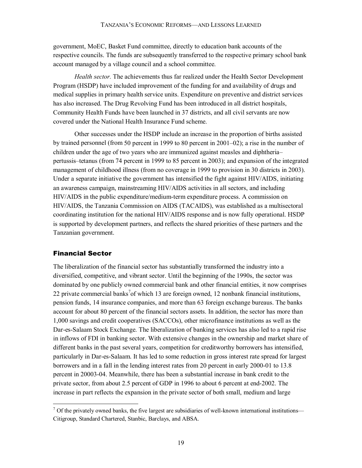government, MoEC, Basket Fund committee, directly to education bank accounts of the respective councils. The funds are subsequently transferred to the respective primary school bank account managed by a village council and a school committee.

*Health sector.* The achievements thus far realized under the Health Sector Development Program (HSDP) have included improvement of the funding for and availability of drugs and medical supplies in primary health service units. Expenditure on preventive and district services has also increased. The Drug Revolving Fund has been introduced in all district hospitals, Community Health Funds have been launched in 37 districts, and all civil servants are now covered under the National Health Insurance Fund scheme.

Other successes under the HSDP include an increase in the proportion of births assisted by trained personnel (from 50 percent in 1999 to 80 percent in 2001–02); a rise in the number of children under the age of two years who are immunized against measles and diphtheria– pertussis–tetanus (from 74 percent in 1999 to 85 percent in 2003); and expansion of the integrated management of childhood illness (from no coverage in 1999 to provision in 30 districts in 2003). Under a separate initiative the government has intensified the fight against HIV/AIDS, initiating an awareness campaign, mainstreaming HIV/AIDS activities in all sectors, and including HIV/AIDS in the public expenditure/medium-term expenditure process. A commission on HIV/AIDS, the Tanzania Commission on AIDS (TACAIDS), was established as a multisectoral coordinating institution for the national HIV/AIDS response and is now fully operational. HSDP is supported by development partners, and reflects the shared priorities of these partners and the Tanzanian government.

#### Financial Sector

 $\overline{a}$ 

The liberalization of the financial sector has substantially transformed the industry into a diversified, competitive, and vibrant sector. Until the beginning of the 1990s, the sector was dominated by one publicly owned commercial bank and other financial entities, it now comprises 22 private commercial banks<sup>7</sup> of which 13 are foreign owned, 12 nonbank financial institutions, pension funds, 14 insurance companies, and more than 63 foreign exchange bureaus. The banks account for about 80 percent of the financial sectors assets. In addition, the sector has more than 1,000 savings and credit cooperatives (SACCOs), other microfinance institutions as well as the Dar-es-Salaam Stock Exchange. The liberalization of banking services has also led to a rapid rise in inflows of FDI in banking sector. With extensive changes in the ownership and market share of different banks in the past several years, competition for creditworthy borrowers has intensified, particularly in Dar-es-Salaam. It has led to some reduction in gross interest rate spread for largest borrowers and in a fall in the lending interest rates from 20 percent in early 2000-01 to 13.8 percent in 20003-04. Meanwhile, there has been a substantial increase in bank credit to the private sector, from about 2.5 percent of GDP in 1996 to about 6 percent at end-2002. The increase in part reflects the expansion in the private sector of both small, medium and large

 $<sup>7</sup>$  Of the privately owned banks, the five largest are subsidiaries of well-known international institutions—</sup> Citigroup, Standard Chartered, Stanbic, Barclays, and ABSA.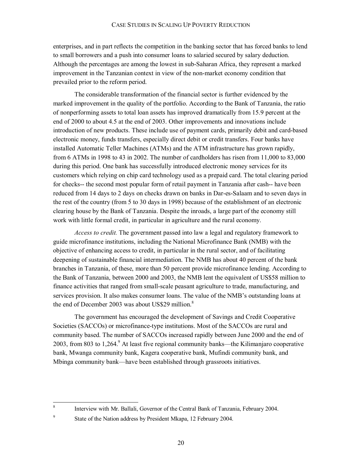enterprises, and in part reflects the competition in the banking sector that has forced banks to lend to small borrowers and a push into consumer loans to salaried secured by salary deduction. Although the percentages are among the lowest in sub-Saharan Africa, they represent a marked improvement in the Tanzanian context in view of the non-market economy condition that prevailed prior to the reform period.

The considerable transformation of the financial sector is further evidenced by the marked improvement in the quality of the portfolio. According to the Bank of Tanzania, the ratio of nonperforming assets to total loan assets has improved dramatically from 15.9 percent at the end of 2000 to about 4.5 at the end of 2003. Other improvements and innovations include introduction of new products. These include use of payment cards, primarily debit and card-based electronic money, funds transfers, especially direct debit or credit transfers. Four banks have installed Automatic Teller Machines (ATMs) and the ATM infrastructure has grown rapidly, from 6 ATMs in 1998 to 43 in 2002. The number of cardholders has risen from 11,000 to 83,000 during this period. One bank has successfully introduced electronic money services for its customers which relying on chip card technology used as a prepaid card. The total clearing period for checks-- the second most popular form of retail payment in Tanzania after cash-- have been reduced from 14 days to 2 days on checks drawn on banks in Dar-es-Salaam and to seven days in the rest of the country (from 5 to 30 days in 1998) because of the establishment of an electronic clearing house by the Bank of Tanzania. Despite the inroads, a large part of the economy still work with little formal credit, in particular in agriculture and the rural economy.

*Access to credit.* The government passed into law a legal and regulatory framework to guide microfinance institutions, including the National Microfinance Bank (NMB) with the objective of enhancing access to credit, in particular in the rural sector, and of facilitating deepening of sustainable financial intermediation. The NMB has about 40 percent of the bank branches in Tanzania, of these, more than 50 percent provide microfinance lending. According to the Bank of Tanzania, between 2000 and 2003, the NMB lent the equivalent of US\$58 million to finance activities that ranged from small-scale peasant agriculture to trade, manufacturing, and services provision. It also makes consumer loans. The value of the NMB's outstanding loans at the end of December 2003 was about US\$29 million.<sup>8</sup>

The government has encouraged the development of Savings and Credit Cooperative Societies (SACCOs) or microfinance-type institutions. Most of the SACCOs are rural and community based. The number of SACCOs increased rapidly between June 2000 and the end of 2003, from 803 to 1,264. $^9$  At least five regional community banks—the Kilimanjaro cooperative bank, Mwanga community bank, Kagera cooperative bank, Mufindi community bank, and Mbinga community bank—have been established through grassroots initiatives.

 8 Interview with Mr. Ballali, Governor of the Central Bank of Tanzania, February 2004.

<sup>9</sup> State of the Nation address by President Mkapa, 12 February 2004.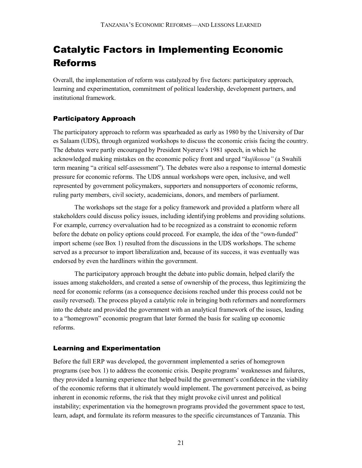## Catalytic Factors in Implementing Economic Reforms

Overall, the implementation of reform was catalyzed by five factors: participatory approach, learning and experimentation, commitment of political leadership, development partners, and institutional framework.

### Participatory Approach

The participatory approach to reform was spearheaded as early as 1980 by the University of Dar es Salaam (UDS), through organized workshops to discuss the economic crisis facing the country. The debates were partly encouraged by President Nyerere's 1981 speech, in which he acknowledged making mistakes on the economic policy front and urged "*kujikosoa"* (a Swahili term meaning "a critical self-assessment"). The debates were also a response to internal domestic pressure for economic reforms. The UDS annual workshops were open, inclusive, and well represented by government policymakers, supporters and nonsupporters of economic reforms, ruling party members, civil society, academicians, donors, and members of parliament.

The workshops set the stage for a policy framework and provided a platform where all stakeholders could discuss policy issues, including identifying problems and providing solutions. For example, currency overvaluation had to be recognized as a constraint to economic reform before the debate on policy options could proceed. For example, the idea of the "own-funded" import scheme (see Box 1) resulted from the discussions in the UDS workshops. The scheme served as a precursor to import liberalization and, because of its success, it was eventually was endorsed by even the hardliners within the government.

The participatory approach brought the debate into public domain, helped clarify the issues among stakeholders, and created a sense of ownership of the process, thus legitimizing the need for economic reforms (as a consequence decisions reached under this process could not be easily reversed). The process played a catalytic role in bringing both reformers and nonreformers into the debate and provided the government with an analytical framework of the issues, leading to a "homegrown" economic program that later formed the basis for scaling up economic reforms.

#### Learning and Experimentation

Before the full ERP was developed, the government implemented a series of homegrown programs (see box 1) to address the economic crisis. Despite programs' weaknesses and failures, they provided a learning experience that helped build the government's confidence in the viability of the economic reforms that it ultimately would implement. The government perceived, as being inherent in economic reforms, the risk that they might provoke civil unrest and political instability; experimentation via the homegrown programs provided the government space to test, learn, adapt, and formulate its reform measures to the specific circumstances of Tanzania. This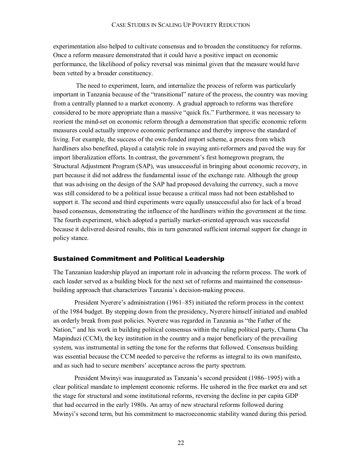experimentation also helped to cultivate consensus and to broaden the constituency for reforms. Once a reform measure demonstrated that it could have a positive impact on economic performance, the likelihood of policy reversal was minimal given that the measure would have been vetted by a broader constituency.

 The need to experiment, learn, and internalize the process of reform was particularly important in Tanzania because of the "transitional" nature of the process, the country was moving from a centrally planned to a market economy. A gradual approach to reforms was therefore considered to be more appropriate than a massive "quick fix." Furthermore, it was necessary to reorient the mind-set on economic reform through a demonstration that specific economic reform measures could actually improve economic performance and thereby improve the standard of living. For example, the success of the own-funded import scheme, a process from which hardliners also benefited, played a catalytic role in swaying anti-reformers and paved the way for import liberalization efforts. In contrast, the government's first homegrown program, the Structural Adjustment Program (SAP), was unsuccessful in bringing about economic recovery, in part because it did not address the fundamental issue of the exchange rate. Although the group that was advising on the design of the SAP had proposed devaluing the currency, such a move was still considered to be a political issue because a critical mass had not been established to support it. The second and third experiments were equally unsuccessful also for lack of a broad based consensus, demonstrating the influence of the hardliners within the government at the time. The fourth experiment, which adopted a partially market-oriented approach was successful because it delivered desired results, this in turn generated sufficient internal support for change in policy stance.

#### Sustained Commitment and Political Leadership

The Tanzanian leadership played an important role in advancing the reform process. The work of each leader served as a building block for the next set of reforms and maintained the consensusbuilding approach that characterizes Tanzania's decision-making process.

President Nyerere's administration (1961–85) initiated the reform process in the context of the 1984 budget. By stepping down from the presidency, Nyerere himself initiated and enabled an orderly break from past policies. Nyerere was regarded in Tanzania as "the Father of the Nation," and his work in building political consensus within the ruling political party, Chama Cha Mapinduzi (CCM), the key institution in the country and a major beneficiary of the prevailing system, was instrumental in setting the tone for the reforms that followed. Consensus building was essential because the CCM needed to perceive the reforms as integral to its own manifesto, and as such had to secure members' acceptance across the party spectrum.

President Mwinyi was inaugurated as Tanzania's second president (1986–1995) with a clear political mandate to implement economic reforms. He ushered in the free market era and set the stage for structural and some institutional reforms, reversing the decline in per capita GDP that had occurred in the early 1980s. An array of new structural reforms followed during Mwinyi's second term, but his commitment to macroeconomic stability waned during this period.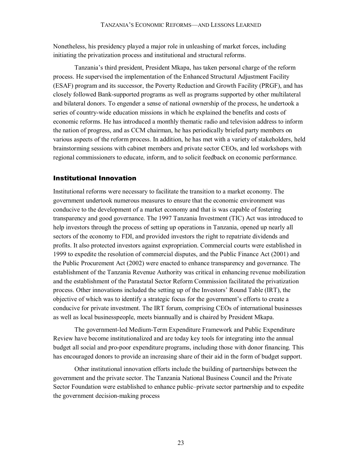Nonetheless, his presidency played a major role in unleashing of market forces, including initiating the privatization process and institutional and structural reforms.

Tanzania's third president, President Mkapa, has taken personal charge of the reform process. He supervised the implementation of the Enhanced Structural Adjustment Facility (ESAF) program and its successor, the Poverty Reduction and Growth Facility (PRGF), and has closely followed Bank-supported programs as well as programs supported by other multilateral and bilateral donors. To engender a sense of national ownership of the process, he undertook a series of country-wide education missions in which he explained the benefits and costs of economic reforms. He has introduced a monthly thematic radio and television address to inform the nation of progress, and as CCM chairman, he has periodically briefed party members on various aspects of the reform process. In addition, he has met with a variety of stakeholders, held brainstorming sessions with cabinet members and private sector CEOs, and led workshops with regional commissioners to educate, inform, and to solicit feedback on economic performance.

#### Institutional Innovation

Institutional reforms were necessary to facilitate the transition to a market economy. The government undertook numerous measures to ensure that the economic environment was conducive to the development of a market economy and that is was capable of fostering transparency and good governance. The 1997 Tanzania Investment (TIC) Act was introduced to help investors through the process of setting up operations in Tanzania, opened up nearly all sectors of the economy to FDI, and provided investors the right to repatriate dividends and profits. It also protected investors against expropriation. Commercial courts were established in 1999 to expedite the resolution of commercial disputes, and the Public Finance Act (2001) and the Public Procurement Act (2002) were enacted to enhance transparency and governance. The establishment of the Tanzania Revenue Authority was critical in enhancing revenue mobilization and the establishment of the Parastatal Sector Reform Commission facilitated the privatization process. Other innovations included the setting up of the Investors' Round Table (IRT), the objective of which was to identify a strategic focus for the government's efforts to create a conducive for private investment. The IRT forum, comprising CEOs of international businesses as well as local businesspeople, meets biannually and is chaired by President Mkapa.

The government-led Medium-Term Expenditure Framework and Public Expenditure Review have become institutionalized and are today key tools for integrating into the annual budget all social and pro-poor expenditure programs, including those with donor financing. This has encouraged donors to provide an increasing share of their aid in the form of budget support.

Other institutional innovation efforts include the building of partnerships between the government and the private sector. The Tanzania National Business Council and the Private Sector Foundation were established to enhance public–private sector partnership and to expedite the government decision-making process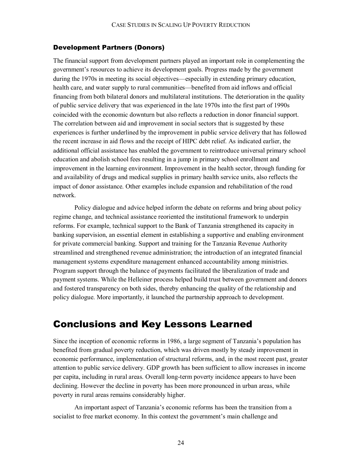#### Development Partners (Donors)

The financial support from development partners played an important role in complementing the government's resources to achieve its development goals. Progress made by the government during the 1970s in meeting its social objectives—especially in extending primary education, health care, and water supply to rural communities—benefited from aid inflows and official financing from both bilateral donors and multilateral institutions. The deterioration in the quality of public service delivery that was experienced in the late 1970s into the first part of 1990s coincided with the economic downturn but also reflects a reduction in donor financial support. The correlation between aid and improvement in social sectors that is suggested by these experiences is further underlined by the improvement in public service delivery that has followed the recent increase in aid flows and the receipt of HIPC debt relief. As indicated earlier, the additional official assistance has enabled the government to reintroduce universal primary school education and abolish school fees resulting in a jump in primary school enrollment and improvement in the learning environment. Improvement in the health sector, through funding for and availability of drugs and medical supplies in primary health service units, also reflects the impact of donor assistance. Other examples include expansion and rehabilitation of the road network.

Policy dialogue and advice helped inform the debate on reforms and bring about policy regime change, and technical assistance reoriented the institutional framework to underpin reforms. For example, technical support to the Bank of Tanzania strengthened its capacity in banking supervision, an essential element in establishing a supportive and enabling environment for private commercial banking. Support and training for the Tanzania Revenue Authority streamlined and strengthened revenue administration; the introduction of an integrated financial management systems expenditure management enhanced accountability among ministries. Program support through the balance of payments facilitated the liberalization of trade and payment systems. While the Helleiner process helped build trust between government and donors and fostered transparency on both sides, thereby enhancing the quality of the relationship and policy dialogue. More importantly, it launched the partnership approach to development.

## Conclusions and Key Lessons Learned

Since the inception of economic reforms in 1986, a large segment of Tanzania's population has benefited from gradual poverty reduction, which was driven mostly by steady improvement in economic performance, implementation of structural reforms, and, in the most recent past, greater attention to public service delivery. GDP growth has been sufficient to allow increases in income per capita, including in rural areas. Overall long-term poverty incidence appears to have been declining. However the decline in poverty has been more pronounced in urban areas, while poverty in rural areas remains considerably higher.

An important aspect of Tanzania's economic reforms has been the transition from a socialist to free market economy. In this context the government's main challenge and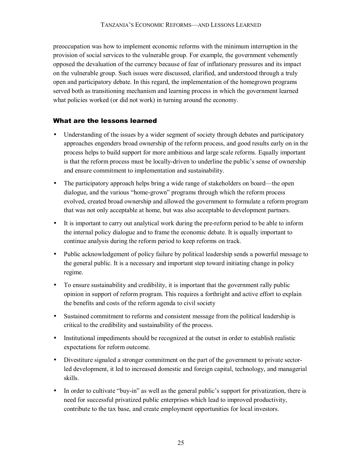preoccupation was how to implement economic reforms with the minimum interruption in the provision of social services to the vulnerable group. For example, the government vehemently opposed the devaluation of the currency because of fear of inflationary pressures and its impact on the vulnerable group. Such issues were discussed, clarified, and understood through a truly open and participatory debate. In this regard, the implementation of the homegrown programs served both as transitioning mechanism and learning process in which the government learned what policies worked (or did not work) in turning around the economy.

## What are the lessons learned

- Understanding of the issues by a wider segment of society through debates and participatory approaches engenders broad ownership of the reform process, and good results early on in the process helps to build support for more ambitious and large scale reforms. Equally important is that the reform process must be locally-driven to underline the public's sense of ownership and ensure commitment to implementation and sustainability.
- The participatory approach helps bring a wide range of stakeholders on board—the open dialogue, and the various "home-grown" programs through which the reform process evolved, created broad ownership and allowed the government to formulate a reform program that was not only acceptable at home, but was also acceptable to development partners.
- It is important to carry out analytical work during the pre-reform period to be able to inform the internal policy dialogue and to frame the economic debate. It is equally important to continue analysis during the reform period to keep reforms on track.
- Public acknowledgement of policy failure by political leadership sends a powerful message to the general public. It is a necessary and important step toward initiating change in policy regime.
- To ensure sustainability and credibility, it is important that the government rally public opinion in support of reform program. This requires a forthright and active effort to explain the benefits and costs of the reform agenda to civil society
- Sustained commitment to reforms and consistent message from the political leadership is critical to the credibility and sustainability of the process.
- Institutional impediments should be recognized at the outset in order to establish realistic expectations for reform outcome.
- Divestiture signaled a stronger commitment on the part of the government to private sectorled development, it led to increased domestic and foreign capital, technology, and managerial skills.
- In order to cultivate "buy-in" as well as the general public's support for privatization, there is need for successful privatized public enterprises which lead to improved productivity, contribute to the tax base, and create employment opportunities for local investors.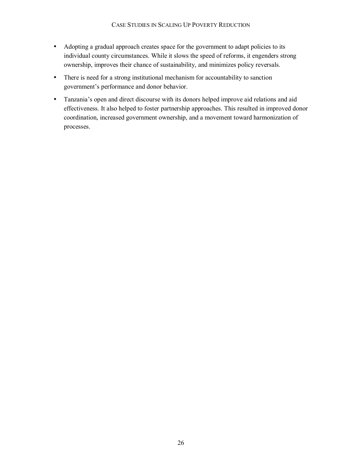- Adopting a gradual approach creates space for the government to adapt policies to its individual county circumstances. While it slows the speed of reforms, it engenders strong ownership, improves their chance of sustainability, and minimizes policy reversals.
- There is need for a strong institutional mechanism for accountability to sanction government's performance and donor behavior.
- Tanzania's open and direct discourse with its donors helped improve aid relations and aid effectiveness. It also helped to foster partnership approaches. This resulted in improved donor coordination, increased government ownership, and a movement toward harmonization of processes.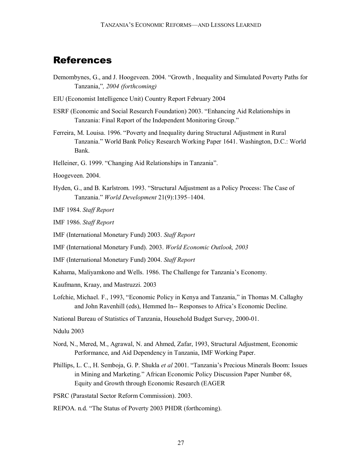## References

- Demombynes, G., and J. Hoogeveen. 2004. "Growth , Inequality and Simulated Poverty Paths for Tanzania,"*, 2004 (forthcoming)*
- EIU (Economist Intelligence Unit) Country Report February 2004
- ESRF (Economic and Social Research Foundation) 2003. "Enhancing Aid Relationships in Tanzania: Final Report of the Independent Monitoring Group."
- Ferreira, M. Louisa. 1996. "Poverty and Inequality during Structural Adjustment in Rural Tanzania." World Bank Policy Research Working Paper 1641. Washington, D.C.: World Bank.
- Helleiner, G. 1999. "Changing Aid Relationships in Tanzania".
- Hoogeveen. 2004.
- Hyden, G., and B. Karlstrom. 1993. "Structural Adjustment as a Policy Process: The Case of Tanzania." *World Development* 21(9):1395–1404.
- IMF 1984. *Staff Report*
- IMF 1986. *Staff Report*
- IMF (International Monetary Fund) 2003. *Staff Report*
- IMF (International Monetary Fund). 2003. *World Economic Outlook, 2003*
- IMF (International Monetary Fund) 2004. *Staff Report*
- Kahama, Maliyamkono and Wells. 1986. The Challenge for Tanzania's Economy.
- Kaufmann, Kraay, and Mastruzzi. 2003
- Lofchie, Michael. F., 1993, "Economic Policy in Kenya and Tanzania," in Thomas M. Callaghy and John Ravenhill (eds), Hemmed In-- Responses to Africa's Economic Decline.
- National Bureau of Statistics of Tanzania, Household Budget Survey, 2000-01.

Ndulu 2003

- Nord, N., Mered, M., Agrawal, N. and Ahmed, Zafar, 1993, Structural Adjustment, Economic Performance, and Aid Dependency in Tanzania, IMF Working Paper.
- Phillips, L. C., H. Semboja, G. P. Shukla *et al* 2001. "Tanzania's Precious Minerals Boom: Issues in Mining and Marketing." African Economic Policy Discussion Paper Number 68, Equity and Growth through Economic Research (EAGER
- PSRC (Parastatal Sector Reform Commission). 2003.
- REPOA. n.d. "The Status of Poverty 2003 PHDR (forthcoming).